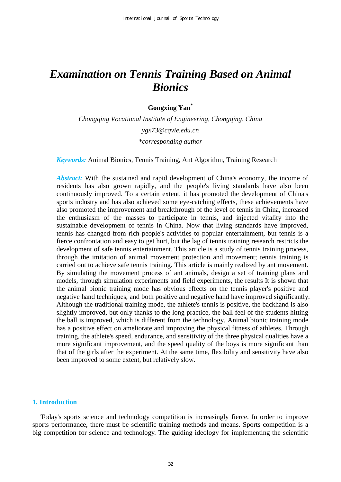# *Examination on Tennis Training Based on Animal Bionics*

# **Gongxing Yan\***

*Chongqing Vocational Institute of Engineering, Chongqing, China ygx73@cqvie.edu.cn \*corresponding author* 

*Keywords:* Animal Bionics, Tennis Training, Ant Algorithm, Training Research

*Abstract:* With the sustained and rapid development of China's economy, the income of residents has also grown rapidly, and the people's living standards have also been continuously improved. To a certain extent, it has promoted the development of China's sports industry and has also achieved some eye-catching effects, these achievements have also promoted the improvement and breakthrough of the level of tennis in China, increased the enthusiasm of the masses to participate in tennis, and injected vitality into the sustainable development of tennis in China. Now that living standards have improved, tennis has changed from rich people's activities to popular entertainment, but tennis is a fierce confrontation and easy to get hurt, but the lag of tennis training research restricts the development of safe tennis entertainment. This article is a study of tennis training process, through the imitation of animal movement protection and movement; tennis training is carried out to achieve safe tennis training. This article is mainly realized by ant movement. By simulating the movement process of ant animals, design a set of training plans and models, through simulation experiments and field experiments, the results It is shown that the animal bionic training mode has obvious effects on the tennis player's positive and negative hand techniques, and both positive and negative hand have improved significantly. Although the traditional training mode, the athlete's tennis is positive, the backhand is also slightly improved, but only thanks to the long practice, the ball feel of the students hitting the ball is improved, which is different from the technology. Animal bionic training mode has a positive effect on ameliorate and improving the physical fitness of athletes. Through training, the athlete's speed, endurance, and sensitivity of the three physical qualities have a more significant improvement, and the speed quality of the boys is more significant than that of the girls after the experiment. At the same time, flexibility and sensitivity have also been improved to some extent, but relatively slow.

# **1. Introduction**

Today's sports science and technology competition is increasingly fierce. In order to improve sports performance, there must be scientific training methods and means. Sports competition is a big competition for science and technology. The guiding ideology for implementing the scientific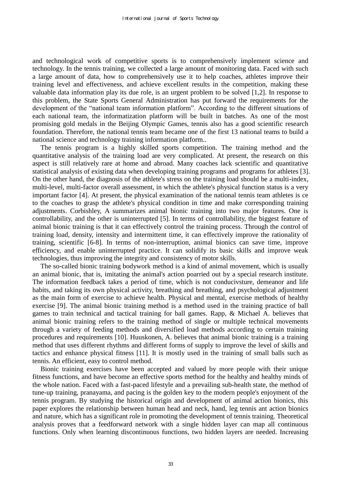and technological work of competitive sports is to comprehensively implement science and technology. In the tennis training, we collected a large amount of monitoring data. Faced with such a large amount of data, how to comprehensively use it to help coaches, athletes improve their training level and effectiveness, and achieve excellent results in the competition, making these valuable data information play its due role, is an urgent problem to be solved [1,2]. In response to this problem, the State Sports General Administration has put forward the requirements for the development of the "national team information platform". According to the different situations of each national team, the informatization platform will be built in batches. As one of the most promising gold medals in the Beijing Olympic Games, tennis also has a good scientific research foundation. Therefore, the national tennis team became one of the first 13 national teams to build a national science and technology training information platform..

The tennis program is a highly skilled sports competition. The training method and the quantitative analysis of the training load are very complicated. At present, the research on this aspect is still relatively rare at home and abroad. Many coaches lack scientific and quantitative statistical analysis of existing data when developing training programs and programs for athletes [3]. On the other hand, the diagnosis of the athlete's stress on the training load should be a multi-index, multi-level, multi-factor overall assessment, in which the athlete's physical function status is a very important factor [4]. At present, the physical examination of the national tennis team athletes is ce to the coaches to grasp the athlete's physical condition in time and make corresponding training adjustments. Corbishley, A summarizes animal bionic training into two major features. One is controllability, and the other is uninterrupted [5]. In terms of controllability, the biggest feature of animal bionic training is that it can effectively control the training process. Through the control of training load, density, intensity and intermittent time, it can effectively improve the rationality of training, scientific [6-8]. In terms of non-interruption, animal bionics can save time, improve efficiency, and enable uninterrupted practice. It can solidify its basic skills and improve weak technologies, thus improving the integrity and consistency of motor skills.

The so-called bionic training bodywork method is a kind of animal movement, which is usually an animal bionic, that is, imitating the animal's action poarried out by a special research institute. The information feedback takes a period of time, which is not conducivsture, demeanor and life habits, and taking its own physical activity, breathing and breathing, and psychological adjustment as the main form of exercise to achieve health. Physical and mental, exercise methods of healthy exercise [9]. The animal bionic training method is a method used in the training practice of ball games to train technical and tactical training for ball games. Rapp, & Michael A. believes that animal bionic training refers to the training method of single or multiple technical movements through a variety of feeding methods and diversified load methods according to certain training procedures and requirements [10]. Huuskonen, A. believes that animal bionic training is a training method that uses different rhythms and different forms of supply to improve the level of skills and tactics and enhance physical fitness [11]. It is mostly used in the training of small balls such as tennis. An efficient, easy to control method.

Bionic training exercises have been accepted and valued by more people with their unique fitness functions, and have become an effective sports method for the healthy and healthy minds of the whole nation. Faced with a fast-paced lifestyle and a prevailing sub-health state, the method of tune-up training, pranayama, and pacing is the golden key to the modern people's enjoyment of the tennis program. By studying the historical origin and development of animal action bionics, this paper explores the relationship between human head and neck, hand, leg tennis ant action bionics and nature, which has a significant role in promoting the development of tennis training. Theoretical analysis proves that a feedforward network with a single hidden layer can map all continuous functions. Only when learning discontinuous functions, two hidden layers are needed. Increasing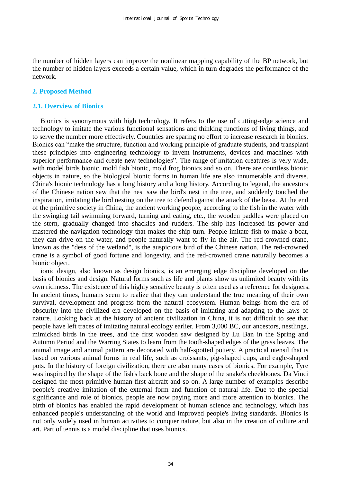the number of hidden layers can improve the nonlinear mapping capability of the BP network, but the number of hidden layers exceeds a certain value, which in turn degrades the performance of the network.

# **2. Proposed Method**

#### **2.1. Overview of Bionics**

Bionics is synonymous with high technology. It refers to the use of cutting-edge science and technology to imitate the various functional sensations and thinking functions of living things, and to serve the number more effectively. Countries are sparing no effort to increase research in bionics. Bionics can "make the structure, function and working principle of graduate students, and transplant these principles into engineering technology to invent instruments, devices and machines with superior performance and create new technologies". The range of imitation creatures is very wide, with model birds bionic, mold fish bionic, mold frog bionics and so on. There are countless bionic objects in nature, so the biological bionic forms in human life are also innumerable and diverse. China's bionic technology has a long history and a long history. According to legend, the ancestors of the Chinese nation saw that the nest saw the bird's nest in the tree, and suddenly touched the inspiration, imitating the bird nesting on the tree to defend against the attack of the beast. At the end of the primitive society in China, the ancient working people, according to the fish in the water with the swinging tail swimming forward, turning and eating, etc., the wooden paddles were placed on the stern, gradually changed into shackles and rudders. The ship has increased its power and mastered the navigation technology that makes the ship turn. People imitate fish to make a boat, they can drive on the water, and people naturally want to fly in the air. The red-crowned crane, known as the "dess of the wetland", is the auspicious bird of the Chinese nation. The red-crowned crane is a symbol of good fortune and longevity, and the red-crowned crane naturally becomes a bionic object.

ionic design, also known as design bionics, is an emerging edge discipline developed on the basis of bionics and design. Natural forms such as life and plants show us unlimited beauty with its own richness. The existence of this highly sensitive beauty is often used as a reference for designers. In ancient times, humans seem to realize that they can understand the true meaning of their own survival, development and progress from the natural ecosystem. Human beings from the era of obscurity into the civilized era developed on the basis of imitating and adapting to the laws of nature. Looking back at the history of ancient civilization in China, it is not difficult to see that people have left traces of imitating natural ecology earlier. From 3,000 BC, our ancestors, nestlings, mimicked birds in the trees, and the first wooden saw designed by Lu Ban in the Spring and Autumn Period and the Warring States to learn from the tooth-shaped edges of the grass leaves. The animal image and animal pattern are decorated with half-spotted pottery. A practical utensil that is based on various animal forms in real life, such as croissants, pig-shaped cups, and eagle-shaped pots. In the history of foreign civilization, there are also many cases of bionics. For example, Tyre was inspired by the shape of the fish's back bone and the shape of the snake's cheekbones. Da Vinci designed the most primitive human first aircraft and so on. A large number of examples describe people's creative imitation of the external form and function of natural life. Due to the special significance and role of bionics, people are now paying more and more attention to bionics. The birth of bionics has enabled the rapid development of human science and technology, which has enhanced people's understanding of the world and improved people's living standards. Bionics is not only widely used in human activities to conquer nature, but also in the creation of culture and art. Part of tennis is a model discipline that uses bionics.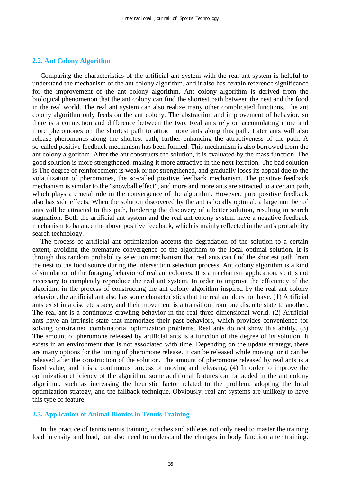# **2.2. Ant Colony Algorithm**

Comparing the characteristics of the artificial ant system with the real ant system is helpful to understand the mechanism of the ant colony algorithm, and it also has certain reference significance for the improvement of the ant colony algorithm. Ant colony algorithm is derived from the biological phenomenon that the ant colony can find the shortest path between the nest and the food in the real world. The real ant system can also realize many other complicated functions. The ant colony algorithm only feeds on the ant colony. The abstraction and improvement of behavior, so there is a connection and difference between the two. Real ants rely on accumulating more and more pheromones on the shortest path to attract more ants along this path. Later ants will also release pheromones along the shortest path, further enhancing the attractiveness of the path. A so-called positive feedback mechanism has been formed. This mechanism is also borrowed from the ant colony algorithm. After the ant constructs the solution, it is evaluated by the mass function. The good solution is more strengthened, making it more attractive in the next iteration. The bad solution is The degree of reinforcement is weak or not strengthened, and gradually loses its appeal due to the volatilization of pheromones, the so-called positive feedback mechanism. The positive feedback mechanism is similar to the "snowball effect", and more and more ants are attracted to a certain path, which plays a crucial role in the convergence of the algorithm. However, pure positive feedback also has side effects. When the solution discovered by the ant is locally optimal, a large number of ants will be attracted to this path, hindering the discovery of a better solution, resulting in search stagnation. Both the artificial ant system and the real ant colony system have a negative feedback mechanism to balance the above positive feedback, which is mainly reflected in the ant's probability search technology.

The process of artificial ant optimization accepts the degradation of the solution to a certain extent, avoiding the premature convergence of the algorithm to the local optimal solution. It is through this random probability selection mechanism that real ants can find the shortest path from the nest to the food source during the intersection selection process. Ant colony algorithm is a kind of simulation of the foraging behavior of real ant colonies. It is a mechanism application, so it is not necessary to completely reproduce the real ant system. In order to improve the efficiency of the algorithm in the process of constructing the ant colony algorithm inspired by the real ant colony behavior, the artificial ant also has some characteristics that the real ant does not have. (1) Artificial ants exist in a discrete space, and their movement is a transition from one discrete state to another. The real ant is a continuous crawling behavior in the real three-dimensional world. (2) Artificial ants have an intrinsic state that memorizes their past behaviors, which provides convenience for solving constrained combinatorial optimization problems. Real ants do not show this ability. (3) The amount of pheromone released by artificial ants is a function of the degree of its solution. It exists in an environment that is not associated with time. Depending on the update strategy, there are many options for the timing of pheromone release. It can be released while moving, or it can be released after the construction of the solution. The amount of pheromone released by real ants is a fixed value, and it is a continuous process of moving and releasing. (4) In order to improve the optimization efficiency of the algorithm, some additional features can be added in the ant colony algorithm, such as increasing the heuristic factor related to the problem, adopting the local optimization strategy, and the fallback technique. Obviously, real ant systems are unlikely to have this type of feature.

#### **2.3. Application of Animal Bionics in Tennis Training**

In the practice of tennis tennis training, coaches and athletes not only need to master the training load intensity and load, but also need to understand the changes in body function after training.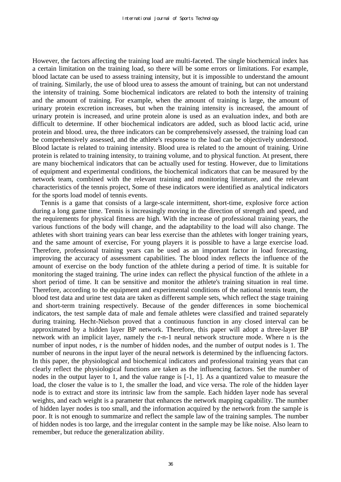However, the factors affecting the training load are multi-faceted. The single biochemical index has a certain limitation on the training load, so there will be some errors or limitations. For example, blood lactate can be used to assess training intensity, but it is impossible to understand the amount of training. Similarly, the use of blood urea to assess the amount of training, but can not understand the intensity of training. Some biochemical indicators are related to both the intensity of training and the amount of training. For example, when the amount of training is large, the amount of urinary protein excretion increases, but when the training intensity is increased, the amount of urinary protein is increased, and urine protein alone is used as an evaluation index, and both are difficult to determine. If other biochemical indicators are added, such as blood lactic acid, urine protein and blood. urea, the three indicators can be comprehensively assessed, the training load can be comprehensively assessed, and the athlete's response to the load can be objectively understood. Blood lactate is related to training intensity. Blood urea is related to the amount of training. Urine protein is related to training intensity, to training volume, and to physical function. At present, there are many biochemical indicators that can be actually used for testing. However, due to limitations of equipment and experimental conditions, the biochemical indicators that can be measured by the network team, combined with the relevant training and monitoring literature, and the relevant characteristics of the tennis project, Some of these indicators were identified as analytical indicators for the sports load model of tennis events.

Tennis is a game that consists of a large-scale intermittent, short-time, explosive force action during a long game time. Tennis is increasingly moving in the direction of strength and speed, and the requirements for physical fitness are high. With the increase of professional training years, the various functions of the body will change, and the adaptability to the load will also change. The athletes with short training years can bear less exercise than the athletes with longer training years, and the same amount of exercise, For young players it is possible to have a large exercise load. Therefore, professional training years can be used as an important factor in load forecasting, improving the accuracy of assessment capabilities. The blood index reflects the influence of the amount of exercise on the body function of the athlete during a period of time. It is suitable for monitoring the staged training. The urine index can reflect the physical function of the athlete in a short period of time. It can be sensitive and monitor the athlete's training situation in real time. Therefore, according to the equipment and experimental conditions of the national tennis team, the blood test data and urine test data are taken as different sample sets, which reflect the stage training and short-term training respectively. Because of the gender differences in some biochemical indicators, the test sample data of male and female athletes were classified and trained separately during training. Hecht-Nielson proved that a continuous function in any closed interval can be approximated by a hidden layer BP network. Therefore, this paper will adopt a three-layer BP network with an implicit layer, namely the r-n-1 neural network structure mode. Where n is the number of input nodes, r is the number of hidden nodes, and the number of output nodes is 1. The number of neurons in the input layer of the neural network is determined by the influencing factors. In this paper, the physiological and biochemical indicators and professional training years that can clearly reflect the physiological functions are taken as the influencing factors. Set the number of nodes in the output layer to 1, and the value range is [-1, 1]. As a quantized value to measure the load, the closer the value is to 1, the smaller the load, and vice versa. The role of the hidden layer node is to extract and store its intrinsic law from the sample. Each hidden layer node has several weights, and each weight is a parameter that enhances the network mapping capability. The number of hidden layer nodes is too small, and the information acquired by the network from the sample is poor. It is not enough to summarize and reflect the sample law of the training samples. The number of hidden nodes is too large, and the irregular content in the sample may be like noise. Also learn to remember, but reduce the generalization ability.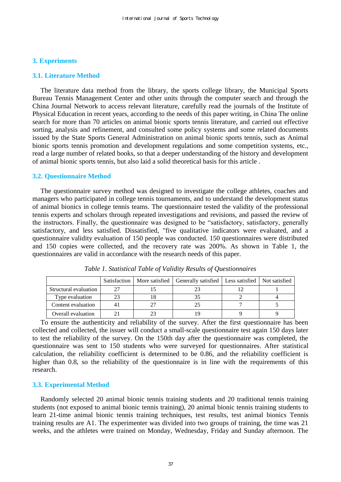#### **3. Experiments**

#### **3.1. Literature Method**

The literature data method from the library, the sports college library, the Municipal Sports Bureau Tennis Management Center and other units through the computer search and through the China Journal Network to access relevant literature, carefully read the journals of the Institute of Physical Education in recent years, according to the needs of this paper writing, in China The online search for more than 70 articles on animal bionic sports tennis literature, and carried out effective sorting, analysis and refinement, and consulted some policy systems and some related documents issued by the State Sports General Administration on animal bionic sports tennis, such as Animal bionic sports tennis promotion and development regulations and some competition systems, etc., read a large number of related books, so that a deeper understanding of the history and development of animal bionic sports tennis, but also laid a solid theoretical basis for this article .

#### **3.2. Questionnaire Method**

The questionnaire survey method was designed to investigate the college athletes, coaches and managers who participated in college tennis tournaments, and to understand the development status of animal bionics in college tennis teams. The questionnaire tested the validity of the professional tennis experts and scholars through repeated investigations and revisions, and passed the review of the instructors. Finally, the questionnaire was designed to be "satisfactory, satisfactory, generally satisfactory, and less satisfied. Dissatisfied, "five qualitative indicators were evaluated, and a questionnaire validity evaluation of 150 people was conducted. 150 questionnaires were distributed and 150 copies were collected, and the recovery rate was 200%. As shown in Table 1, the questionnaires are valid in accordance with the research needs of this paper.

|                       | Satisfaction | More satisfied   Generally satisfied   Less satisfied   Not satisfied |  |
|-----------------------|--------------|-----------------------------------------------------------------------|--|
| Structural evaluation |              |                                                                       |  |
| Type evaluation       |              |                                                                       |  |
| Content evaluation    |              |                                                                       |  |
| Overall evaluation    |              |                                                                       |  |

*Table 1. Statistical Table of Validity Results of Questionnaires* 

To ensure the authenticity and reliability of the survey. After the first questionnaire has been collected and collected, the issuer will conduct a small-scale questionnaire test again 150 days later to test the reliability of the survey. On the 150th day after the questionnaire was completed, the questionnaire was sent to 150 students who were surveyed for questionnaires. After statistical calculation, the reliability coefficient is determined to be 0.86, and the reliability coefficient is higher than 0.8, so the reliability of the questionnaire is in line with the requirements of this research.

# **3.3. Experimental Method**

Randomly selected 20 animal bionic tennis training students and 20 traditional tennis training students (not exposed to animal bionic tennis training), 20 animal bionic tennis training students to learn 21-time animal bionic tennis training techniques, test results, test animal bionics Tennis training results are A1. The experimenter was divided into two groups of training, the time was 21 weeks, and the athletes were trained on Monday, Wednesday, Friday and Sunday afternoon. The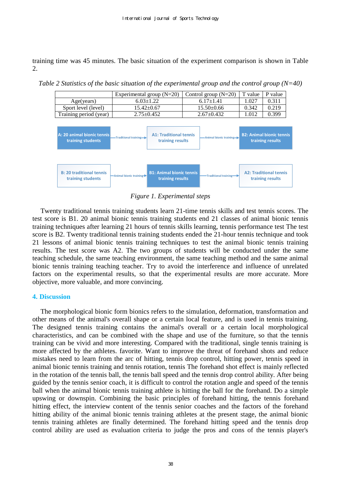training time was 45 minutes. The basic situation of the experiment comparison is shown in Table 2.

*Table 2 Statistics of the basic situation of the experimental group and the control group (N=40)* 

|                        | Experimental group $(N=20)$ | Control group $(N=20)$ | T value | P value |
|------------------------|-----------------------------|------------------------|---------|---------|
| Age(years)             | $6.03 \pm 1.22$             | $6.17 + 1.41$          | 1.027   | 2.311   |
| Sport level (level)    | $15.42 + 0.67$              | $15.50 + 0.66$         | 0.342   | 0 219   |
| Training period (year) | $2.75 + 0.452$              | $2.67 + 0.432$         | LO12    | 399 (   |



*Figure 1. Experimental steps* 

Twenty traditional tennis training students learn 21-time tennis skills and test tennis scores. The test score is B1. 20 animal bionic tennis training students end 21 classes of animal bionic tennis training techniques after learning 21 hours of tennis skills learning, tennis performance test The test score is B2. Twenty traditional tennis training students ended the 21-hour tennis technique and took 21 lessons of animal bionic tennis training techniques to test the animal bionic tennis training results. The test score was A2. The two groups of students will be conducted under the same teaching schedule, the same teaching environment, the same teaching method and the same animal bionic tennis training teaching teacher. Try to avoid the interference and influence of unrelated factors on the experimental results, so that the experimental results are more accurate. More objective, more valuable, and more convincing.

# **4. Discussion**

The morphological bionic form bionics refers to the simulation, deformation, transformation and other means of the animal's overall shape or a certain local feature, and is used in tennis training. The designed tennis training contains the animal's overall or a certain local morphological characteristics, and can be combined with the shape and use of the furniture, so that the tennis training can be vivid and more interesting. Compared with the traditional, single tennis training is more affected by the athletes. favorite. Want to improve the threat of forehand shots and reduce mistakes need to learn from the arc of hitting, tennis drop control, hitting power, tennis speed in animal bionic tennis training and tennis rotation, tennis The forehand shot effect is mainly reflected in the rotation of the tennis ball, the tennis ball speed and the tennis drop control ability. After being guided by the tennis senior coach, it is difficult to control the rotation angle and speed of the tennis ball when the animal bionic tennis training athlete is hitting the ball for the forehand. Do a simple upswing or downspin. Combining the basic principles of forehand hitting, the tennis forehand hitting effect, the interview content of the tennis senior coaches and the factors of the forehand hitting ability of the animal bionic tennis training athletes at the present stage, the animal bionic tennis training athletes are finally determined. The forehand hitting speed and the tennis drop control ability are used as evaluation criteria to judge the pros and cons of the tennis player's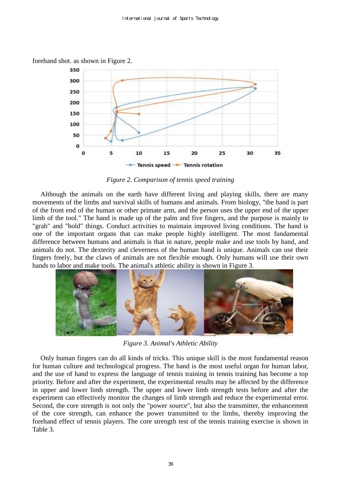

forehand shot. as shown in Figure 2.

*Figure 2. Comparison of tennis speed training* 

Although the animals on the earth have different living and playing skills, there are many movements of the limbs and survival skills of humans and animals. From biology, "the hand is part of the front end of the human or other primate arm, and the person uses the upper end of the upper limb of the tool." The hand is made up of the palm and five fingers, and the purpose is mainly to "grab" and "hold" things. Conduct activities to maintain improved living conditions. The hand is one of the important organs that can make people highly intelligent. The most fundamental difference between humans and animals is that in nature, people make and use tools by hand, and animals do not. The dexterity and cleverness of the human hand is unique. Animals can use their fingers freely, but the claws of animals are not flexible enough. Only humans will use their own hands to labor and make tools. The animal's athletic ability is shown in Figure 3.



*Figure 3. Animal's Athletic Ability* 

Only human fingers can do all kinds of tricks. This unique skill is the most fundamental reason for human culture and technological progress. The hand is the most useful organ for human labor, and the use of hand to express the language of tennis training in tennis training has become a top priority. Before and after the experiment, the experimental results may be affected by the difference in upper and lower limb strength. The upper and lower limb strength tests before and after the experiment can effectively monitor the changes of limb strength and reduce the experimental error. Second, the core strength is not only the "power source", but also the transmitter, the enhancement of the core strength, can enhance the power transmitted to the limbs, thereby improving the forehand effect of tennis players. The core strength test of the tennis training exercise is shown in Table 3.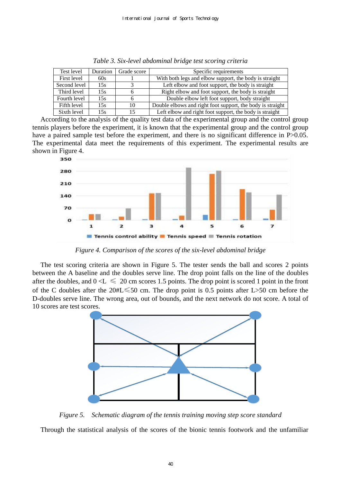| Test level   | Duration | Grade score | Specific requirements                                      |
|--------------|----------|-------------|------------------------------------------------------------|
| First level  | 60s      |             | With both legs and elbow support, the body is straight     |
| Second level | 15s      |             | Left elbow and foot support, the body is straight          |
| Third level  | 15s      |             | Right elbow and foot support, the body is straight         |
| Fourth level | 15s      |             | Double elbow left foot support, body straight              |
| Fifth level  | 15s      | 10          | Double elbows and right foot support, the body is straight |
| Sixth level  | 15s      | 15          | Left elbow and right foot support, the body is straight    |

*Table 3. Six-level abdominal bridge test scoring criteria* 

According to the analysis of the quality test data of the experimental group and the control group tennis players before the experiment, it is known that the experimental group and the control group have a paired sample test before the experiment, and there is no significant difference in P>0.05. The experimental data meet the requirements of this experiment. The experimental results are shown in Figure 4.



*Figure 4. Comparison of the scores of the six-level abdominal bridge* 

The test scoring criteria are shown in Figure 5. The tester sends the ball and scores 2 points between the A baseline and the doubles serve line. The drop point falls on the line of the doubles after the doubles, and  $0 < L \le 20$  cm scores 1.5 points. The drop point is scored 1 point in the front of the C doubles after the 20#L≤50 cm. The drop point is 0.5 points after L>50 cm before the D-doubles serve line. The wrong area, out of bounds, and the next network do not score. A total of 10 scores are test scores.



*Figure 5. Schematic diagram of the tennis training moving step score standard* 

Through the statistical analysis of the scores of the bionic tennis footwork and the unfamiliar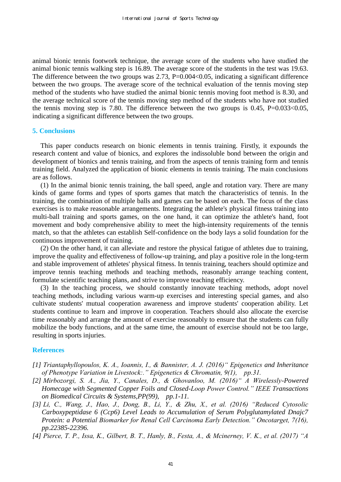animal bionic tennis footwork technique, the average score of the students who have studied the animal bionic tennis walking step is 16.89. The average score of the students in the test was 19.63. The difference between the two groups was  $2.73$ ,  $P=0.004<0.05$ , indicating a significant difference between the two groups. The average score of the technical evaluation of the tennis moving step method of the students who have studied the animal bionic tennis moving foot method is 8.30, and the average technical score of the tennis moving step method of the students who have not studied the tennis moving step is 7.80. The difference between the two groups is  $0.45$ , P= $0.033<0.05$ , indicating a significant difference between the two groups.

# **5. Conclusions**

This paper conducts research on bionic elements in tennis training. Firstly, it expounds the research content and value of bionics, and explores the indissoluble bond between the origin and development of bionics and tennis training, and from the aspects of tennis training form and tennis training field. Analyzed the application of bionic elements in tennis training. The main conclusions are as follows.

(1) In the animal bionic tennis training, the ball speed, angle and rotation vary. There are many kinds of game forms and types of sports games that match the characteristics of tennis. In the training, the combination of multiple balls and games can be based on each. The focus of the class exercises is to make reasonable arrangements. Integrating the athlete's physical fitness training into multi-ball training and sports games, on the one hand, it can optimize the athlete's hand, foot movement and body comprehensive ability to meet the high-intensity requirements of the tennis match, so that the athletes can establish Self-confidence on the body lays a solid foundation for the continuous improvement of training.

(2) On the other hand, it can alleviate and restore the physical fatigue of athletes due to training, improve the quality and effectiveness of follow-up training, and play a positive role in the long-term and stable improvement of athletes' physical fitness. In tennis training, teachers should optimize and improve tennis teaching methods and teaching methods, reasonably arrange teaching content, formulate scientific teaching plans, and strive to improve teaching efficiency.

(3) In the teaching process, we should constantly innovate teaching methods, adopt novel teaching methods, including various warm-up exercises and interesting special games, and also cultivate students' mutual cooperation awareness and improve students' cooperation ability. Let students continue to learn and improve in cooperation. Teachers should also allocate the exercise time reasonably and arrange the amount of exercise reasonably to ensure that the students can fully mobilize the body functions, and at the same time, the amount of exercise should not be too large, resulting in sports injuries.

#### **References**

- *[1] Triantaphyllopoulos, K. A., Ioannis, I., & Bannister, A. J. (2016)" Epigenetics and Inheritance of Phenotype Variation in Livestock:." Epigenetics & Chromatin, 9(1), pp.31.*
- *[2] Mirbozorgi, S. A., Jia, Y., Canales, D., & Ghovanloo, M. (2016)" A Wirelessly-Powered Homecage with Segmented Copper Foils and Closed-Loop Power Control." IEEE Transactions on Biomedical Circuits & Systems,PP(99), pp.1-11.*
- *[3] Li, C., Wang, J., Hao, J., Dong, B., Li, Y., & Zhu, X., et al. (2016) "Reduced Cytosolic Carboxypeptidase 6 (Ccp6) Level Leads to Accumulation of Serum Polyglutamylated Dnajc7 Protein: a Potential Biomarker for Renal Cell Carcinoma Early Detection." Oncotarget, 7(16), pp.22385-22396.*
- *[4] Pierce, T. P., Issa, K., Gilbert, B. T., Hanly, B., Festa, A., & Mcinerney, V. K., et al. (2017) "A*